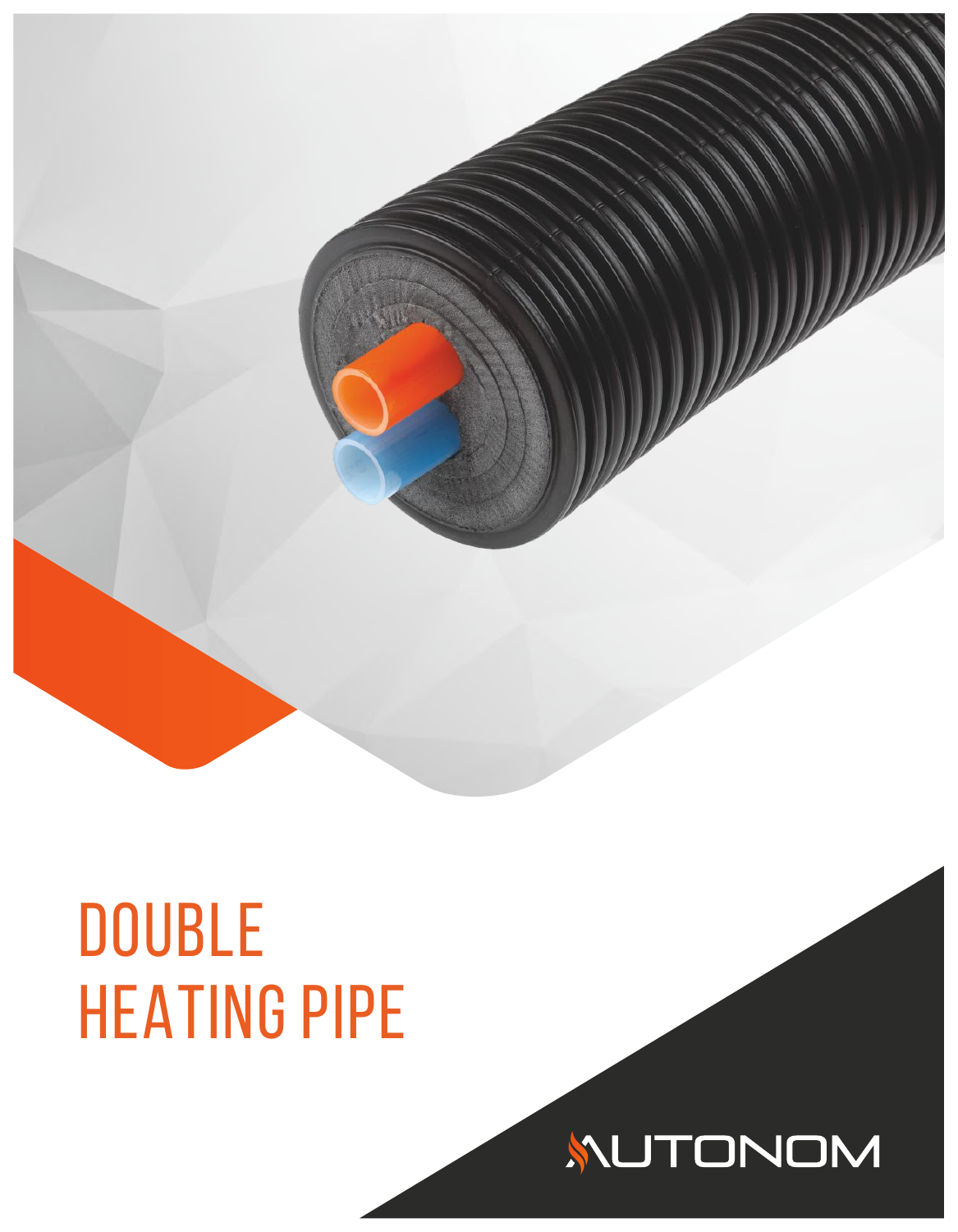

# **DOUBLE** HEATING PIPE

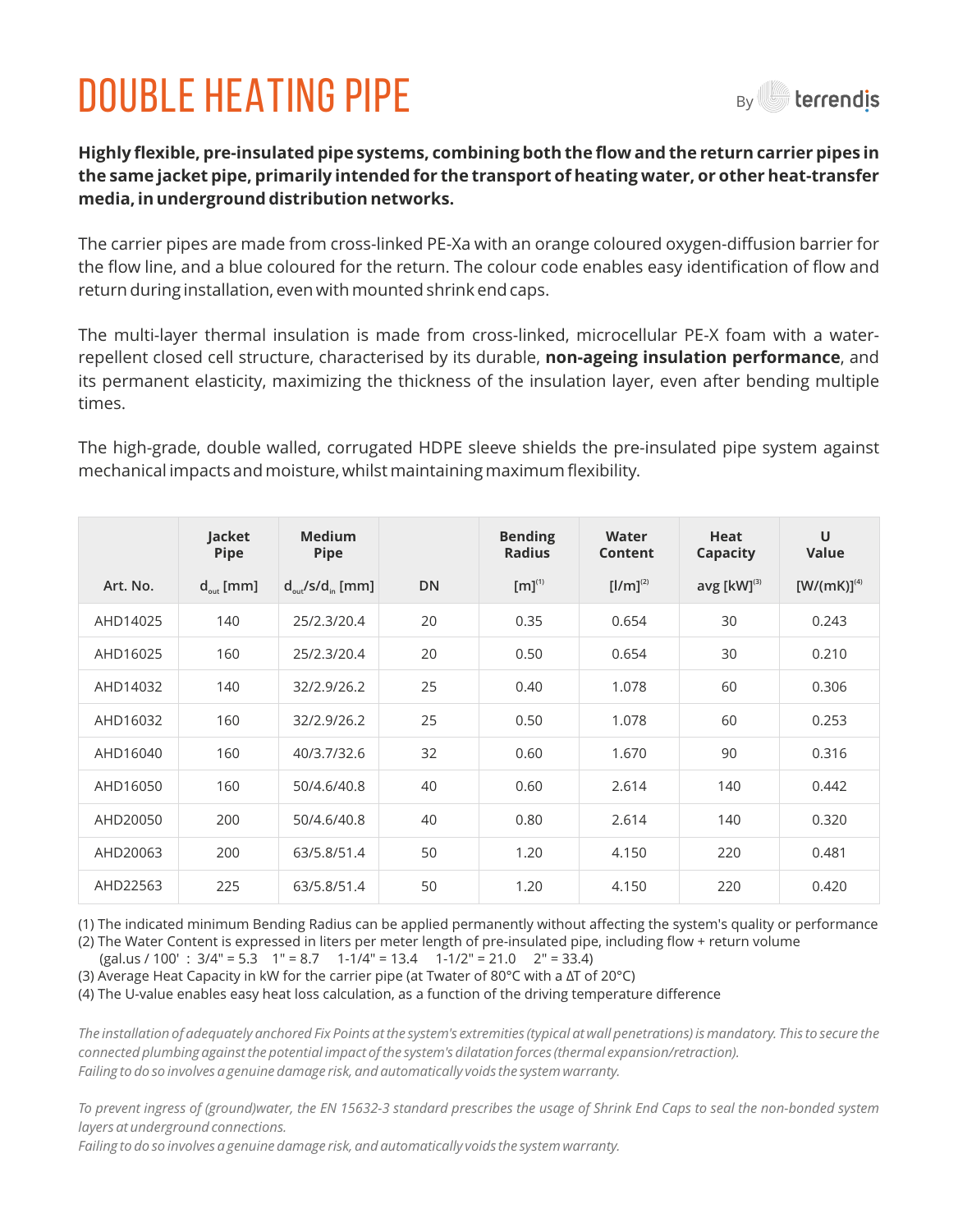## DOUBLE HEATING pIPE



**Highly flexible, pre-insulated pipe systems, combining both the flow and the return carrier pipes in the same jacket pipe, primarily intended for the transport of heating water, or other heat-transfer media, in underground distribution networks.**

The carrier pipes are made from cross-linked PE-Xa with an orange coloured oxygen-diffusion barrier for the flow line, and a blue coloured for the return. The colour code enables easy identification of flow and return during installation, even with mounted shrink end caps.

The multi-layer thermal insulation is made from cross-linked, microcellular PE-X foam with a waterrepellent closed cell structure, characterised by its durable, **non-ageing insulation performance**, and its permanent elasticity, maximizing the thickness of the insulation layer, even after bending multiple times.

The high-grade, double walled, corrugated HDPE sleeve shields the pre-insulated pipe system against mechanical impacts and moisture, whilst maintaining maximum flexibility.

|          | Jacket<br><b>Pipe</b> | <b>Medium</b><br><b>Pipe</b>          |           | <b>Bending</b><br><b>Radius</b> | Water<br><b>Content</b> | <b>Heat</b><br>Capacity | U<br><b>Value</b> |
|----------|-----------------------|---------------------------------------|-----------|---------------------------------|-------------------------|-------------------------|-------------------|
| Art. No. | $d_{\text{out}}$ [mm] | $d_{\text{out}}/s/d_{\text{in}}$ [mm] | <b>DN</b> | $[m]^{(1)}$                     | $[1/m]^{(2)}$           | avg $[kW]^{(3)}$        | $[W/(mK)]^{(4)}$  |
| AHD14025 | 140                   | 25/2.3/20.4                           | 20        | 0.35                            | 0.654                   | 30                      | 0.243             |
| AHD16025 | 160                   | 25/2.3/20.4                           | 20        | 0.50                            | 0.654                   | 30                      | 0.210             |
| AHD14032 | 140                   | 32/2.9/26.2                           | 25        | 0.40                            | 1.078                   | 60                      | 0.306             |
| AHD16032 | 160                   | 32/2.9/26.2                           | 25        | 0.50                            | 1.078                   | 60                      | 0.253             |
| AHD16040 | 160                   | 40/3.7/32.6                           | 32        | 0.60                            | 1.670                   | 90                      | 0.316             |
| AHD16050 | 160                   | 50/4.6/40.8                           | 40        | 0.60                            | 2.614                   | 140                     | 0.442             |
| AHD20050 | 200                   | 50/4.6/40.8                           | 40        | 0.80                            | 2.614                   | 140                     | 0.320             |
| AHD20063 | 200                   | 63/5.8/51.4                           | 50        | 1.20                            | 4.150                   | 220                     | 0.481             |
| AHD22563 | 225                   | 63/5.8/51.4                           | 50        | 1.20                            | 4.150                   | 220                     | 0.420             |

(1) The indicated minimum Bending Radius can be applied permanently without affecting the system's quality or performance

(2) The Water Content is expressed in liters per meter length of pre-insulated pipe, including flow + return volume 
$$
(2.24 \times 24.2 \times 10^{10} \text{ m})
$$

 (gal.us / 100' : 3/4" = 5.3 1" = 8.7 1-1/4" = 13.4 1-1/2" = 21.0 2" = 33.4) (3) Average Heat Capacity in kW for the carrier pipe (at Twater of 80 $^{\circ}$ C with a ΔT of 20 $^{\circ}$ C)

(4) The U-value enables easy heat loss calculation, as a function of the driving temperature difference

*The installation of adequately anchored Fix Points at the system's extremities (typical at wall penetrations) is mandatory. This to secure the connected plumbing against the potential impact of the system's dilatation forces (thermal expansion/retraction). Failing to do so involves a genuine damage risk, and automatically voids the system warranty.*

*To prevent ingress of (ground)water, the EN 15632-3 standard prescribes the usage of Shrink End Caps to seal the non-bonded system layers at underground connections.* 

*Failing to do so involves a genuine damage risk, and automatically voids the system warranty.*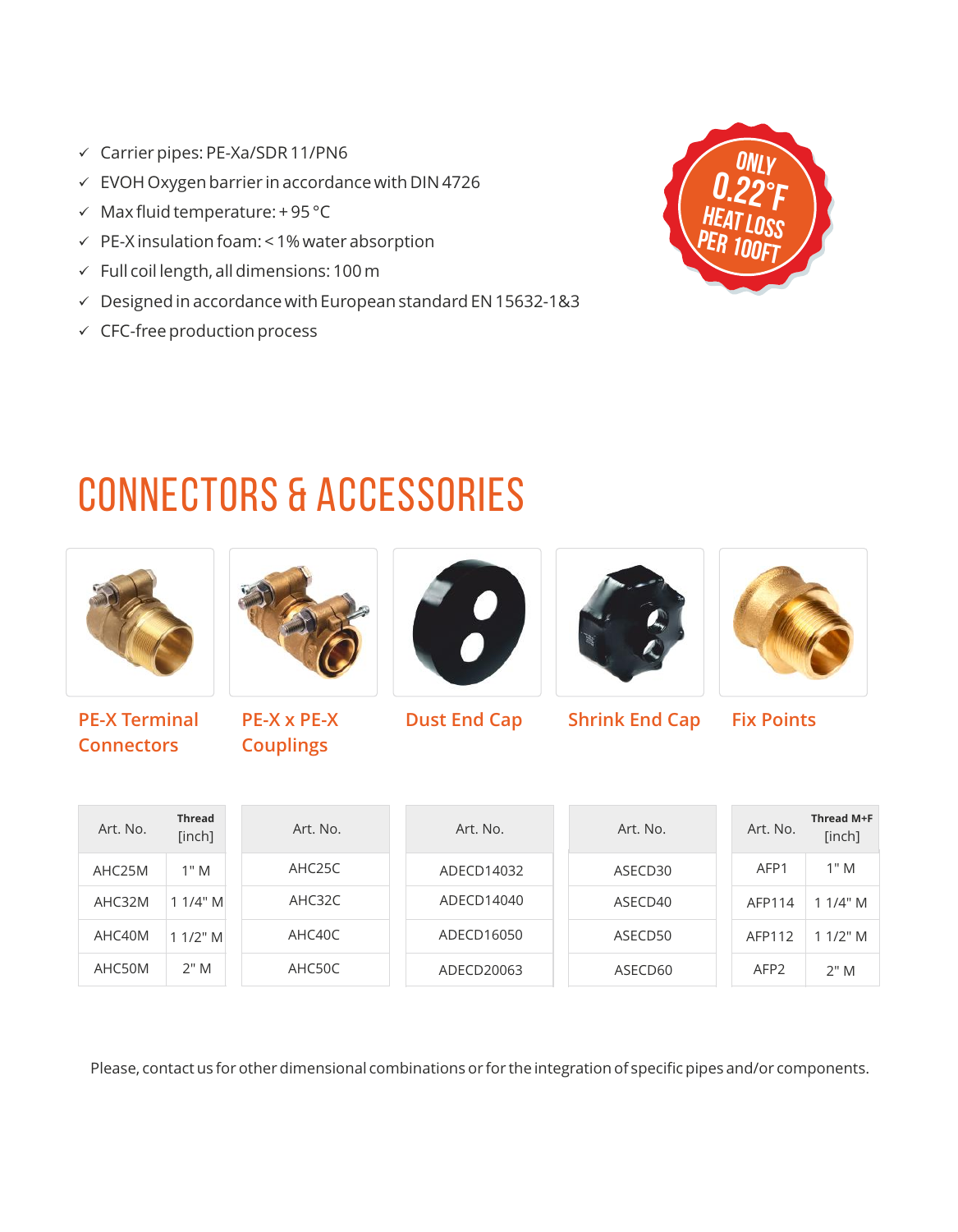- $\checkmark$  Carrier pipes: PE-Xa/SDR 11/PN6
- $\times$  EVOH Oxygen barrier in accordance with DIN 4726
- $\checkmark$  Max fluid temperature: + 95 °C
- $\checkmark$  PE-X insulation foam: < 1% water absorption
- $\checkmark$  Full coil length, all dimensions: 100 m
- $\checkmark$  Designed in accordance with European standard EN 15632-1&3
- $\checkmark$  CFC-free production process



### CONNECTORS & ACCESSORIES



**PE-X Terminal Connectors**



**PE-X x PE-X Couplings** 





**Dust End Cap Shrink End Cap Fix Points**



| Art. No. | <b>Thread</b><br>[inch] | Art. No.            | Art. No.   | Art. No. | Art. No.         | Thread M+F<br>[inch] |
|----------|-------------------------|---------------------|------------|----------|------------------|----------------------|
| AHC25M   | 1" M                    | AHC <sub>25</sub> C | ADECD14032 | ASECD30  | AFP1             | 1" M                 |
| AHC32M   | 11/4" M                 | AHC32C              | ADECD14040 | ASECD40  | AFP114           | 11/4" M              |
| AHC40M   | $11/2$ " M              | AHC40C              | ADECD16050 | ASECD50  | AFP112           | 11/2" M              |
| AHC50M   | 2"M                     | AHC50C              | ADECD20063 | ASECD60  | AFP <sub>2</sub> | 2"M                  |

Please, contact us for other dimensional combinations or for the integration of specific pipes and/or components.